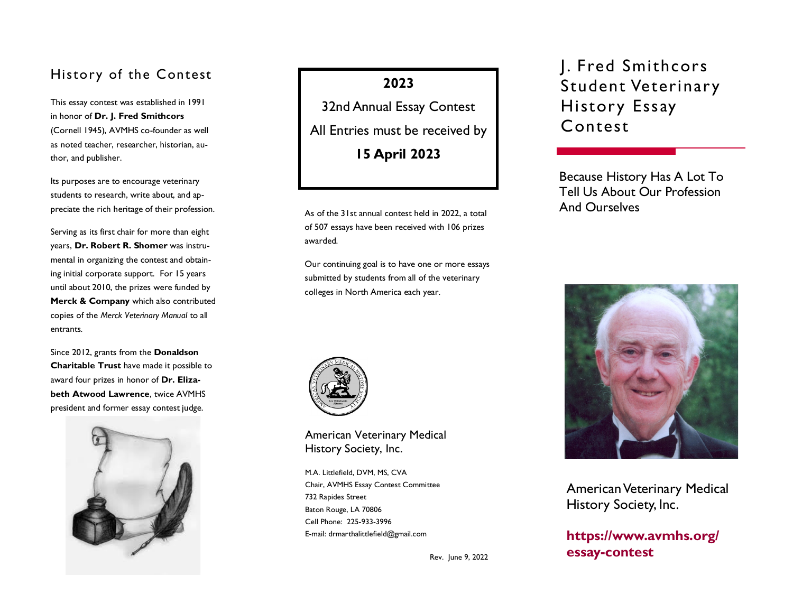## History of the Contest

This essay contest was established in 1991 in honor of **Dr. J. Fred Smithcors** (Cornell 1945), AVMHS co-founder as well as noted teacher, researcher, historian, author, and publisher.

Its purposes are to encourage veterinary students to research, write about, and appreciate the rich heritage of their profession.

Serving as its first chair for more than eight years, **Dr. Robert R. Shomer** was instrumental in organizing the contest and obtaining initial corporate support. For 15 years until about 2010, the prizes were funded by **Merck & Company** which also contributed copies of the *Merck Veterinary Manual* to all entrants.

Since 2012, grants from the **Donaldson Charitable Trust** have made it possible to award four prizes in honor of **Dr. Elizabeth Atwood Lawrence**, twice AVMHS president and former essay contest judge.



**2023**

32nd Annual Essay Contest All Entries must be received by **15 April 2023** 

As of the 31st annual contest held in 2022, a total of 507 essays have been received with 106 prizes awarded.

Our continuing goal is to have one or more essays submitted by students from all of the veterinary colleges in North America each year.



American Veterinary Medical History Society, Inc.

M.A. Littlefield, DVM, MS, CVA Chair, AVMHS Essay Contest Committee 732 Rapides Street Baton Rouge, LA 70806 Cell Phone: 225-933-3996

Rev. June 9, 2022

J. Fred Smithcors Student Veterinary History Essay Contest

Because History Has A Lot To Tell Us About Our Profession And Ourselves



American Veterinary Medical History Society, Inc.

E-mail: drmarthalittlefield@gmail.com **[https://www.avmhs.org/](https://www.avmhs.org/essay-contest) [essay-contest](https://www.avmhs.org/essay-contest)**